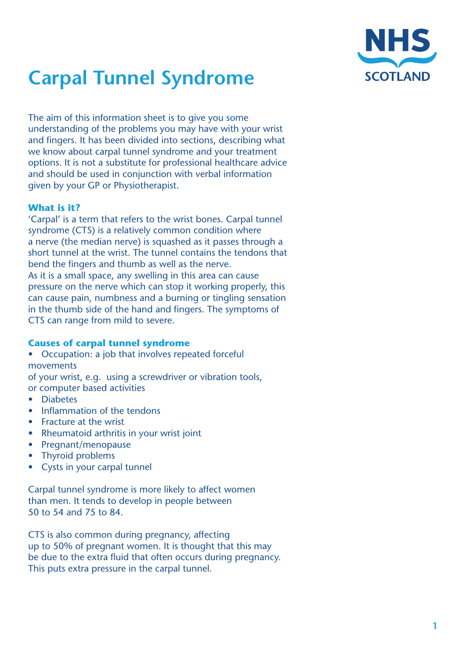

# **Carpal Tunnel Syndrome**

The aim of this information sheet is to give you some understanding of the problems you may have with your wrist and fingers. It has been divided into sections, describing what we know about carpal tunnel syndrome and your treatment options. It is not a substitute for professional healthcare advice and should be used in conjunction with verbal information given by your GP or Physiotherapist.

# **What is it?**

'Carpal' is a term that refers to the wrist bones. Carpal tunnel syndrome (CTS) is a relatively common condition where a nerve (the median nerve) is squashed as it passes through a short tunnel at the wrist. The tunnel contains the tendons that bend the fingers and thumb as well as the nerve. As it is a small space, any swelling in this area can cause pressure on the nerve which can stop it working properly, this can cause pain, numbness and a burning or tingling sensation in the thumb side of the hand and fingers. The symptoms of CTS can range from mild to severe.

# **Causes of carpal tunnel syndrome**

• Occupation: a job that involves repeated forceful movements of your wrist, e.g. using a screwdriver or vibration tools,

or computer based activities

- • Diabetes
- Inflammation of the tendons
- Fracture at the wrist
- Rheumatoid arthritis in your wrist joint
- • Pregnant/menopause
- Thyroid problems
- Cysts in your carpal tunnel

Carpal tunnel syndrome is more likely to affect women than men. It tends to develop in people between 50 to 54 and 75 to 84.

CTS is also common during pregnancy, affecting up to 50% of pregnant women. It is thought that this may be due to the extra fluid that often occurs during pregnancy. This puts extra pressure in the carpal tunnel.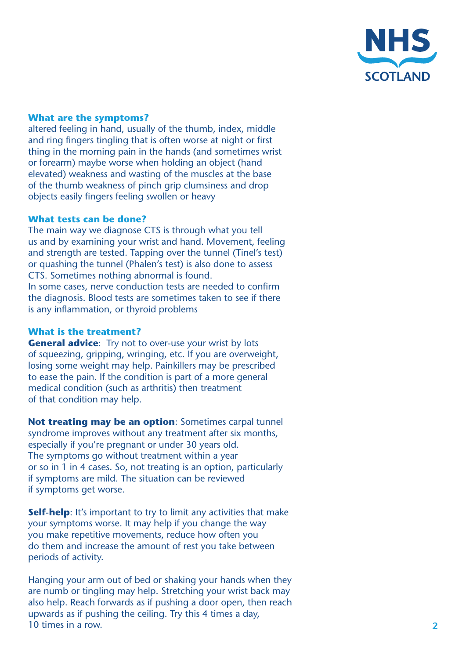

### **What are the symptoms?**

altered feeling in hand, usually of the thumb, index, middle and ring fingers tingling that is often worse at night or first thing in the morning pain in the hands (and sometimes wrist or forearm) maybe worse when holding an object (hand elevated) weakness and wasting of the muscles at the base of the thumb weakness of pinch grip clumsiness and drop objects easily fingers feeling swollen or heavy

### **What tests can be done?**

The main way we diagnose CTS is through what you tell us and by examining your wrist and hand. Movement, feeling and strength are tested. Tapping over the tunnel (Tinel's test) or quashing the tunnel (Phalen's test) is also done to assess CTS. Sometimes nothing abnormal is found. In some cases, nerve conduction tests are needed to confirm the diagnosis. Blood tests are sometimes taken to see if there

is any inflammation, or thyroid problems

#### **What is the treatment?**

**General advice**: Try not to over-use your wrist by lots of squeezing, gripping, wringing, etc. If you are overweight, losing some weight may help. Painkillers may be prescribed to ease the pain. If the condition is part of a more general medical condition (such as arthritis) then treatment of that condition may help.

Not treating may be an option: Sometimes carpal tunnel syndrome improves without any treatment after six months, especially if you're pregnant or under 30 years old. The symptoms go without treatment within a year or so in 1 in 4 cases. So, not treating is an option, particularly if symptoms are mild. The situation can be reviewed if symptoms get worse.

**Self-help**: It's important to try to limit any activities that make your symptoms worse. It may help if you change the way you make repetitive movements, reduce how often you do them and increase the amount of rest you take between periods of activity.

Hanging your arm out of bed or shaking your hands when they are numb or tingling may help. Stretching your wrist back may also help. Reach forwards as if pushing a door open, then reach upwards as if pushing the ceiling. Try this 4 times a day, 10 times in a row.